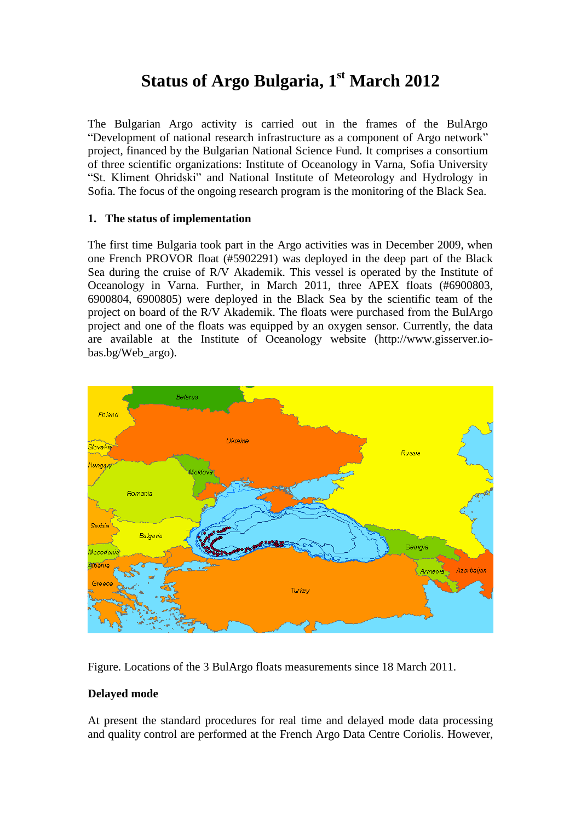# **Status of Argo Bulgaria, 1 st March 2012**

The Bulgarian Argo activity is carried out in the frames of the BulArgo "Development of national research infrastructure as a component of Argo network" project, financed by the Bulgarian National Science Fund. It comprises a consortium of three scientific organizations: Institute of Oceanology in Varna, Sofia University "St. Kliment Ohridski" and National Institute of Meteorology and Hydrology in Sofia. The focus of the ongoing research program is the monitoring of the Black Sea.

## **1. The status of implementation**

The first time Bulgaria took part in the Argo activities was in December 2009, when one French PROVOR float (#5902291) was deployed in the deep part of the Black Sea during the cruise of R/V Akademik. This vessel is operated by the Institute of Oceanology in Varna. Further, in March 2011, three APEX floats (#6900803, 6900804, 6900805) were deployed in the Black Sea by the scientific team of the project on board of the R/V Akademik. The floats were purchased from the BulArgo project and one of the floats was equipped by an oxygen sensor. Currently, the data are available at the Institute of Oceanology website (http://www.gisserver.iobas.bg/Web\_argo).



Figure. Locations of the 3 BulArgo floats measurements since 18 March 2011.

# **Delayed mode**

At present the standard procedures for real time and delayed mode data processing and quality control are performed at the French Argo Data Centre Coriolis. However,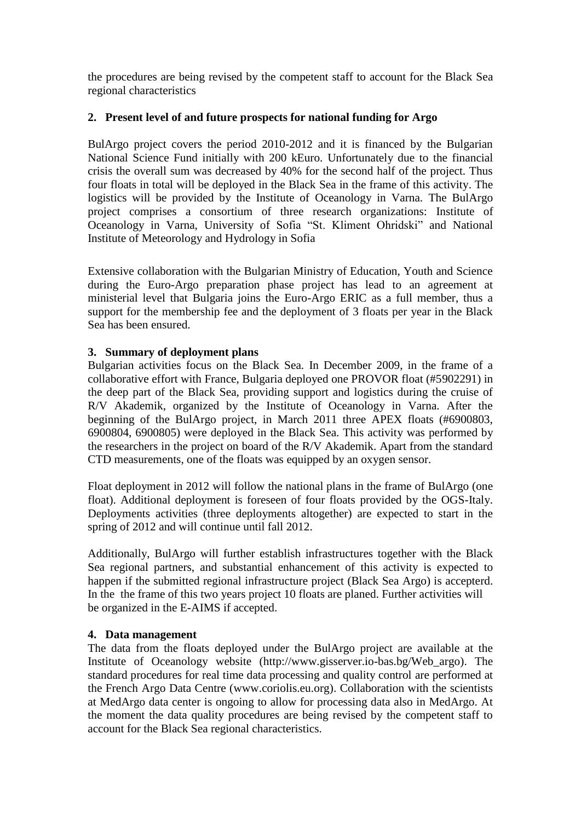the procedures are being revised by the competent staff to account for the Black Sea regional characteristics

## **2. Present level of and future prospects for national funding for Argo**

BulArgo project covers the period 2010-2012 and it is financed by the Bulgarian National Science Fund initially with 200 kEuro. Unfortunately due to the financial crisis the overall sum was decreased by 40% for the second half of the project. Thus four floats in total will be deployed in the Black Sea in the frame of this activity. The logistics will be provided by the Institute of Oceanology in Varna. The BulArgo project comprises a consortium of three research organizations: Institute of Oceanology in Varna, University of Sofia "St. Kliment Ohridski" and National Institute of Meteorology and Hydrology in Sofia

Extensive collaboration with the Bulgarian Ministry of Education, Youth and Science during the Euro-Argo preparation phase project has lead to an agreement at ministerial level that Bulgaria joins the Euro-Argo ERIC as a full member, thus a support for the membership fee and the deployment of 3 floats per year in the Black Sea has been ensured.

## **3. Summary of deployment plans**

Bulgarian activities focus on the Black Sea. In December 2009, in the frame of a collaborative effort with France, Bulgaria deployed one PROVOR float (#5902291) in the deep part of the Black Sea, providing support and logistics during the cruise of R/V Akademik, organized by the Institute of Oceanology in Varna. After the beginning of the BulArgo project, in March 2011 three APEX floats (#6900803, 6900804, 6900805) were deployed in the Black Sea. This activity was performed by the researchers in the project on board of the R/V Akademik. Apart from the standard CTD measurements, one of the floats was equipped by an oxygen sensor.

Float deployment in 2012 will follow the national plans in the frame of BulArgo (one float). Additional deployment is foreseen of four floats provided by the OGS-Italy. Deployments activities (three deployments altogether) are expected to start in the spring of 2012 and will continue until fall 2012.

Additionally, BulArgo will further establish infrastructures together with the Black Sea regional partners, and substantial enhancement of this activity is expected to happen if the submitted regional infrastructure project (Black Sea Argo) is accepterd. In the the frame of this two years project 10 floats are planed. Further activities will be organized in the E-AIMS if accepted.

#### **4. Data management**

The data from the floats deployed under the BulArgo project are available at the Institute of Oceanology website (http://www.gisserver.io-bas.bg/Web\_argo). The standard procedures for real time data processing and quality control are performed at the French Argo Data Centre (www.coriolis.eu.org). Collaboration with the scientists at MedArgo data center is ongoing to allow for processing data also in MedArgo. At the moment the data quality procedures are being revised by the competent staff to account for the Black Sea regional characteristics.